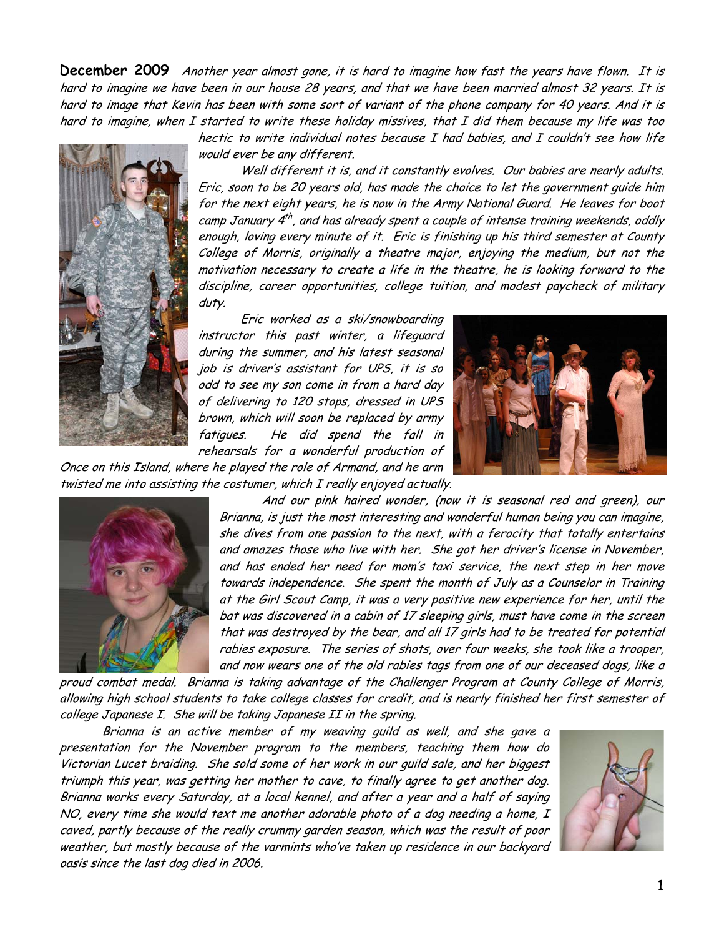**December 2009** Another year almost gone, it is hard to imagine how fast the years have flown. It is hard to imagine we have been in our house 28 years, and that we have been married almost 32 years. It is hard to image that Kevin has been with some sort of variant of the phone company for 40 years. And it is hard to imagine, when I started to write these holiday missives, that I did them because my life was too

hectic to write individual notes because I had babies, and I couldn't see how life would ever be any different.

Well different it is, and it constantly evolves. Our babies are nearly adults. Eric, soon to be 20 years old, has made the choice to let the government guide him for the next eight years, he is now in the Army National Guard. He leaves for boot camp January  $4^{th}$ , and has already spent a couple of intense training weekends, oddly enough, loving every minute of it. Eric is finishing up his third semester at County College of Morris, originally a theatre major, enjoying the medium, but not the motivation necessary to create a life in the theatre, he is looking forward to the discipline, career opportunities, college tuition, and modest paycheck of military duty.

Eric worked as a ski/snowboarding instructor this past winter, a lifeguard during the summer, and his latest seasonal job is driver's assistant for UPS, it is so odd to see my son come in from a hard day of delivering to 120 stops, dressed in UPS brown, which will soon be replaced by army fatigues. He did spend the fall in rehearsals for a wonderful production of



Once on this Island, where he played the role of Armand, and he arm twisted me into assisting the costumer, which I really enjoyed actually.



And our pink haired wonder, (now it is seasonal red and green), our Brianna, is just the most interesting and wonderful human being you can imagine, she dives from one passion to the next, with a ferocity that totally entertains and amazes those who live with her. She got her driver's license in November, and has ended her need for mom's taxi service, the next step in her move towards independence. She spent the month of July as a Counselor in Training at the Girl Scout Camp, it was a very positive new experience for her, until the bat was discovered in a cabin of 17 sleeping girls, must have come in the screen that was destroyed by the bear, and all 17 girls had to be treated for potential rabies exposure. The series of shots, over four weeks, she took like a trooper, and now wears one of the old rabies tags from one of our deceased dogs, like a

proud combat medal. Brianna is taking advantage of the Challenger Program at County College of Morris, allowing high school students to take college classes for credit, and is nearly finished her first semester of college Japanese I. She will be taking Japanese II in the spring.

Brianna is an active member of my weaving guild as well, and she gave a presentation for the November program to the members, teaching them how do Victorian Lucet braiding. She sold some of her work in our guild sale, and her biggest triumph this year, was getting her mother to cave, to finally agree to get another dog. Brianna works every Saturday, at a local kennel, and after a year and a half of saying NO, every time she would text me another adorable photo of a dog needing a home, I caved, partly because of the really crummy garden season, which was the result of poor weather, but mostly because of the varmints who've taken up residence in our backyard oasis since the last dog died in 2006.

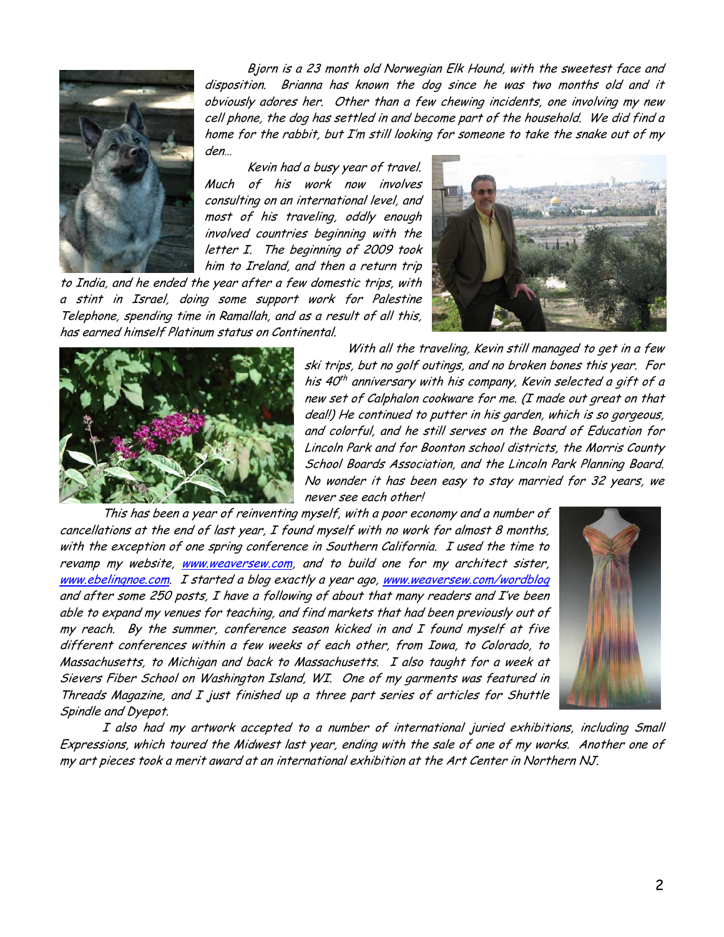

Bjorn is a 23 month old Norwegian Elk Hound, with the sweetest face and disposition. Brianna has known the dog since he was two months old and it obviously adores her. Other than a few chewing incidents, one involving my new cell phone, the dog has settled in and become part of the household. We did find a home for the rabbit, but I'm still looking for someone to take the snake out of my den…

Kevin had a busy year of travel. Much of his work now involves consulting on an international level, and most of his traveling, oddly enough involved countries beginning with the letter I. The beginning of 2009 took him to Ireland, and then a return trip

to India, and he ended the year after a few domestic trips, with a stint in Israel, doing some support work for Palestine Telephone, spending time in Ramallah, and as a result of all this, has earned himself Platinum status on Continental.





With all the traveling, Kevin still managed to get in a few ski trips, but no golf outings, and no broken bones this year. For his  $40<sup>th</sup>$  anniversary with his company, Kevin selected a gift of a new set of Calphalon cookware for me. (I made out great on that deal!) He continued to putter in his garden, which is so gorgeous, and colorful, and he still serves on the Board of Education for Lincoln Park and for Boonton school districts, the Morris County School Boards Association, and the Lincoln Park Planning Board. No wonder it has been easy to stay married for 32 years, we never see each other!

This has been a year of reinventing myself, with a poor economy and a number of cancellations at the end of last year, I found myself with no work for almost 8 months, with the exception of one spring conference in Southern California. I used the time to revamp my website, www.weaversew.com, and to build one for my architect sister, www.ebelingnoe.com. I started a blog exactly a year ago, www.weaversew.com/wordblog and after some 250 posts, I have a following of about that many readers and I've been able to expand my venues for teaching, and find markets that had been previously out of my reach. By the summer, conference season kicked in and I found myself at five different conferences within a few weeks of each other, from Iowa, to Colorado, to Massachusetts, to Michigan and back to Massachusetts. I also taught for a week at Sievers Fiber School on Washington Island, WI. One of my garments was featured in Threads Magazine, and I just finished up a three part series of articles for Shuttle Spindle and Dyepot.



I also had my artwork accepted to a number of international juried exhibitions, including Small Expressions, which toured the Midwest last year, ending with the sale of one of my works. Another one of my art pieces took a merit award at an international exhibition at the Art Center in Northern NJ.